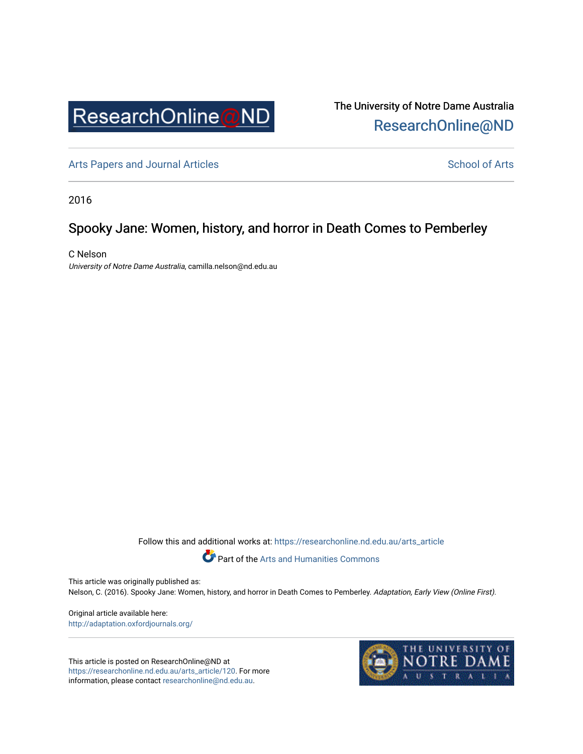

The University of Notre Dame Australia [ResearchOnline@ND](https://researchonline.nd.edu.au/) 

[Arts Papers and Journal Articles](https://researchonline.nd.edu.au/arts_article) and [School of Arts](https://researchonline.nd.edu.au/arts) School of Arts

2016

# Spooky Jane: Women, history, and horror in Death Comes to Pemberley

C Nelson University of Notre Dame Australia, camilla.nelson@nd.edu.au

Follow this and additional works at: [https://researchonline.nd.edu.au/arts\\_article](https://researchonline.nd.edu.au/arts_article?utm_source=researchonline.nd.edu.au%2Farts_article%2F120&utm_medium=PDF&utm_campaign=PDFCoverPages) 



Part of the [Arts and Humanities Commons](http://network.bepress.com/hgg/discipline/438?utm_source=researchonline.nd.edu.au%2Farts_article%2F120&utm_medium=PDF&utm_campaign=PDFCoverPages) 

This article was originally published as:

Nelson, C. (2016). Spooky Jane: Women, history, and horror in Death Comes to Pemberley. Adaptation, Early View (Online First).

Original article available here: <http://adaptation.oxfordjournals.org/>

This article is posted on ResearchOnline@ND at [https://researchonline.nd.edu.au/arts\\_article/120](https://researchonline.nd.edu.au/arts_article/120). For more information, please contact [researchonline@nd.edu.au.](mailto:researchonline@nd.edu.au)

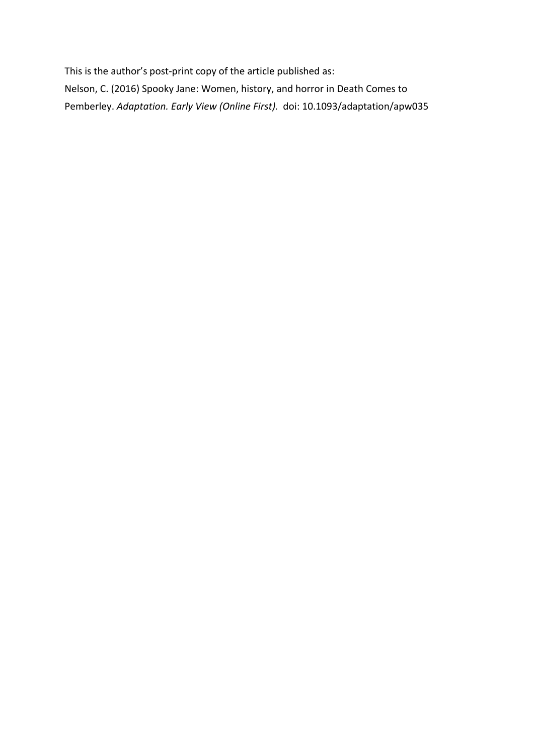This is the author's post-print copy of the article published as: Nelson, C. (2016) Spooky Jane: Women, history, and horror in Death Comes to Pemberley. *Adaptation. Early View (Online First).* doi: 10.1093/adaptation/apw035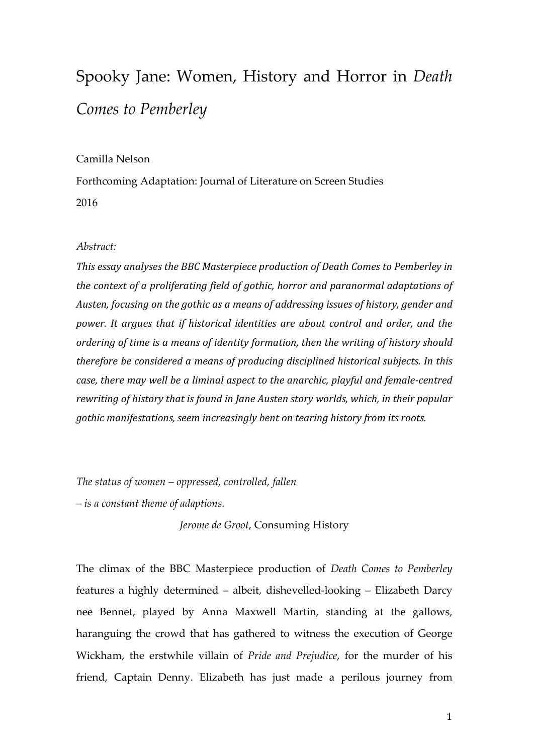# Spooky Jane: Women, History and Horror in *Death Comes to Pemberley*

# Camilla Nelson

Forthcoming Adaptation: Journal of Literature on Screen Studies 2016

## *Abstract:*

*This essay analyses the BBC Masterpiece production of Death Comes to Pemberley in the context of a proliferating field of gothic, horror and paranormal adaptations of Austen, focusing on the gothic as a means of addressing issues of history, gender and power. It argues that if historical identities are about control and order, and the ordering of time is a means of identity formation, then the writing of history should therefore be considered a means of producing disciplined historical subjects. In this case, there may well be a liminal aspect to the anarchic, playful and female-centred rewriting of history that is found in Jane Austen story worlds, which, in their popular gothic manifestations, seem increasingly bent on tearing history from its roots.* 

*The status of women – oppressed, controlled, fallen* 

*– is a constant theme of adaptions.*

*Jerome de Groot*, Consuming History

The climax of the BBC Masterpiece production of *Death Comes to Pemberley* features a highly determined – albeit, dishevelled-looking – Elizabeth Darcy nee Bennet, played by Anna Maxwell Martin, standing at the gallows, haranguing the crowd that has gathered to witness the execution of George Wickham, the erstwhile villain of *Pride and Prejudice*, for the murder of his friend, Captain Denny. Elizabeth has just made a perilous journey from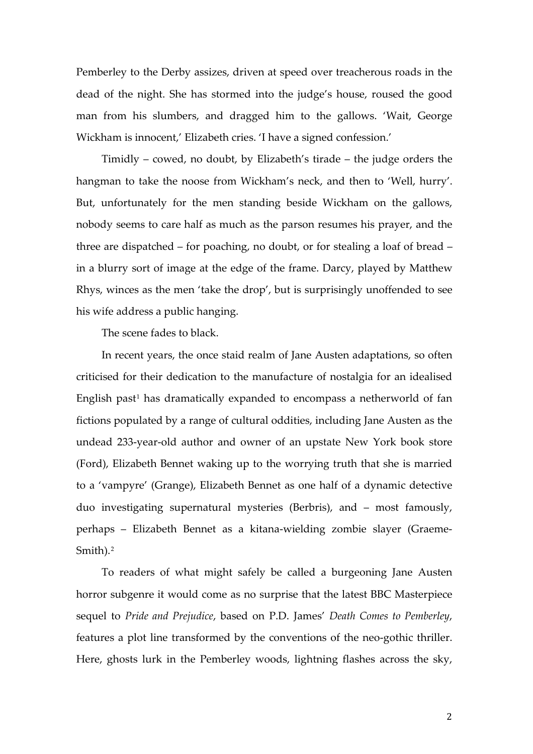Pemberley to the Derby assizes, driven at speed over treacherous roads in the dead of the night. She has stormed into the judge's house, roused the good man from his slumbers, and dragged him to the gallows. 'Wait, George Wickham is innocent,' Elizabeth cries. 'I have a signed confession.'

<span id="page-3-1"></span><span id="page-3-0"></span>Timidly – cowed, no doubt, by Elizabeth's tirade – the judge orders the hangman to take the noose from Wickham's neck, and then to 'Well, hurry'. But, unfortunately for the men standing beside Wickham on the gallows, nobody seems to care half as much as the parson resumes his prayer, and the three are dispatched – for poaching, no doubt, or for stealing a loaf of bread – in a blurry sort of image at the edge of the frame. Darcy, played by Matthew Rhys, winces as the men 'take the drop', but is surprisingly unoffended to see his wife address a public hanging.

The scene fades to black.

In recent years, the once staid realm of Jane Austen adaptations, so often criticised for their dedication to the manufacture of nostalgia for an idealised English past<sup>[1](#page-3-0)</sup> has dramatically expanded to encompass a netherworld of fan fictions populated by a range of cultural oddities, including Jane Austen as the undead 233-year-old author and owner of an upstate New York book store (Ford), Elizabeth Bennet waking up to the worrying truth that she is married to a 'vampyre' (Grange), Elizabeth Bennet as one half of a dynamic detective duo investigating supernatural mysteries (Berbris), and – most famously, perhaps – Elizabeth Bennet as a kitana-wielding zombie slayer (Graeme-Smith).[2](#page-3-1)

To readers of what might safely be called a burgeoning Jane Austen horror subgenre it would come as no surprise that the latest BBC Masterpiece sequel to *Pride and Prejudice*, based on P.D. James' *Death Comes to Pemberley*, features a plot line transformed by the conventions of the neo-gothic thriller. Here, ghosts lurk in the Pemberley woods, lightning flashes across the sky,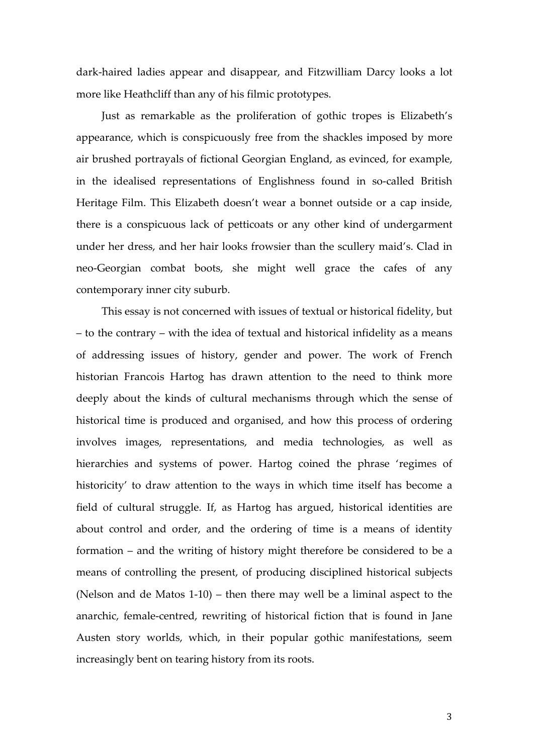dark-haired ladies appear and disappear, and Fitzwilliam Darcy looks a lot more like Heathcliff than any of his filmic prototypes.

Just as remarkable as the proliferation of gothic tropes is Elizabeth's appearance, which is conspicuously free from the shackles imposed by more air brushed portrayals of fictional Georgian England, as evinced, for example, in the idealised representations of Englishness found in so-called British Heritage Film. This Elizabeth doesn't wear a bonnet outside or a cap inside, there is a conspicuous lack of petticoats or any other kind of undergarment under her dress, and her hair looks frowsier than the scullery maid's. Clad in neo-Georgian combat boots, she might well grace the cafes of any contemporary inner city suburb.

<span id="page-4-2"></span><span id="page-4-1"></span><span id="page-4-0"></span>This essay is not concerned with issues of textual or historical fidelity, but – to the contrary – with the idea of textual and historical infidelity as a means of addressing issues of history, gender and power. The work of French historian Francois Hartog has drawn attention to the need to think more deeply about the kinds of cultural mechanisms through which the sense of historical time is produced and organised, and how this process of ordering involves images, representations, and media technologies, as well as hierarchies and systems of power. Hartog coined the phrase 'regimes of historicity' to draw attention to the ways in which time itself has become a field of cultural struggle. If, as Hartog has argued, historical identities are about control and order, and the ordering of time is a means of identity formation – and the writing of history might therefore be considered to be a means of controlling the present, of producing disciplined historical subjects (Nelson and de Matos 1-10) – then there may well be a liminal aspect to the anarchic, female-centred, rewriting of historical fiction that is found in Jane Austen story worlds, which, in their popular gothic manifestations, seem increasingly bent on tearing history from its roots.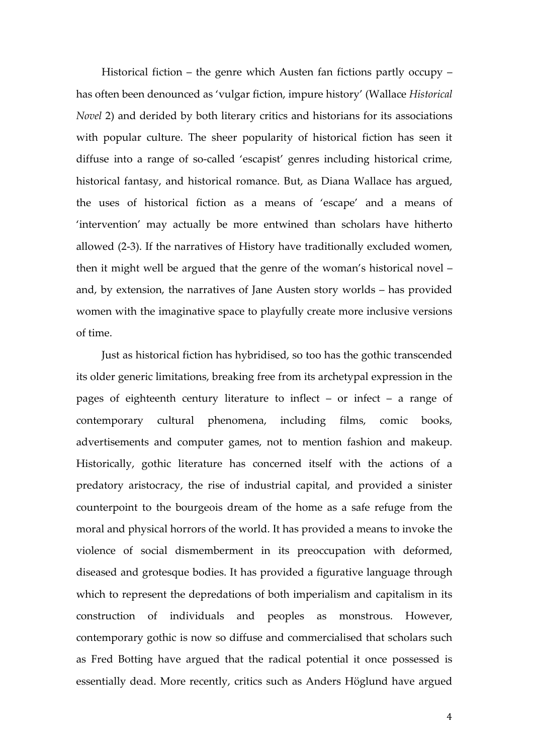Historical fiction – the genre which Austen fan fictions partly occupy – has often been denounced as 'vulgar fiction, impure history' (Wallace *Historical Novel* 2) and derided by both literary critics and historians for its associations with popular culture. The sheer popularity of historical fiction has seen it diffuse into a range of so-called 'escapist' genres including historical crime, historical fantasy, and historical romance. But, as Diana Wallace has argued, the uses of historical fiction as a means of 'escape' and a means of 'intervention' may actually be more entwined than scholars have hitherto allowed (2-3). If the narratives of History have traditionally excluded women, then it might well be argued that the genre of the woman's historical novel – and, by extension, the narratives of Jane Austen story worlds – has provided women with the imaginative space to playfully create more inclusive versions of time.

Just as historical fiction has hybridised, so too has the gothic transcended its older generic limitations, breaking free from its archetypal expression in the pages of eighteenth century literature to inflect – or infect – a range of contemporary cultural phenomena, including films, comic books, advertisements and computer games, not to mention fashion and makeup. Historically, gothic literature has concerned itself with the actions of a predatory aristocracy, the rise of industrial capital, and provided a sinister counterpoint to the bourgeois dream of the home as a safe refuge from the moral and physical horrors of the world. It has provided a means to invoke the violence of social dismemberment in its preoccupation with deformed, diseased and grotesque bodies. It has provided a figurative language through which to represent the depredations of both imperialism and capitalism in its construction of individuals and peoples as monstrous. However, contemporary gothic is now so diffuse and commercialised that scholars such as Fred Botting have argued that the radical potential it once possessed is essentially dead. More recently, critics such as Anders Höglund have argued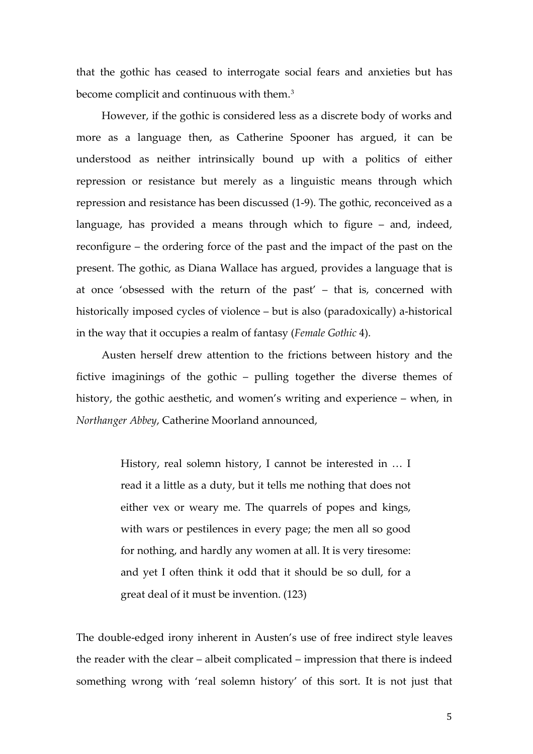that the gothic has ceased to interrogate social fears and anxieties but has become complicit and continuous with them.<sup>[3](#page-4-0)</sup>

However, if the gothic is considered less as a discrete body of works and more as a language then, as Catherine Spooner has argued, it can be understood as neither intrinsically bound up with a politics of either repression or resistance but merely as a linguistic means through which repression and resistance has been discussed (1-9). The gothic, reconceived as a language, has provided a means through which to figure – and, indeed, reconfigure – the ordering force of the past and the impact of the past on the present. The gothic, as Diana Wallace has argued, provides a language that is at once 'obsessed with the return of the past' – that is, concerned with historically imposed cycles of violence – but is also (paradoxically) a-historical in the way that it occupies a realm of fantasy (*Female Gothic* 4).

Austen herself drew attention to the frictions between history and the fictive imaginings of the gothic – pulling together the diverse themes of history, the gothic aesthetic, and women's writing and experience – when, in *Northanger Abbey*, Catherine Moorland announced,

> History, real solemn history, I cannot be interested in … I read it a little as a duty, but it tells me nothing that does not either vex or weary me. The quarrels of popes and kings, with wars or pestilences in every page; the men all so good for nothing, and hardly any women at all. It is very tiresome: and yet I often think it odd that it should be so dull, for a great deal of it must be invention. (123)

The double-edged irony inherent in Austen's use of free indirect style leaves the reader with the clear – albeit complicated – impression that there is indeed something wrong with 'real solemn history' of this sort. It is not just that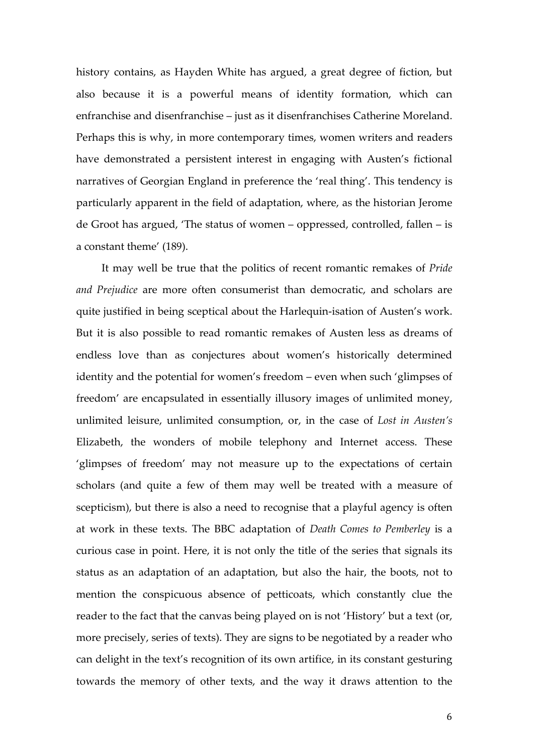history contains, as Hayden White has argued, a great degree of fiction, but also because it is a powerful means of identity formation, which can enfranchise and disenfranchise – just as it disenfranchises Catherine Moreland. Perhaps this is why, in more contemporary times, women writers and readers have demonstrated a persistent interest in engaging with Austen's fictional narratives of Georgian England in preference the 'real thing'. This tendency is particularly apparent in the field of adaptation, where, as the historian Jerome de Groot has argued, 'The status of women – oppressed, controlled, fallen – is a constant theme' (189).

It may well be true that the politics of recent romantic remakes of *Pride and Prejudice* are more often consumerist than democratic, and scholars are quite justified in being sceptical about the Harlequin-isation of Austen's work. But it is also possible to read romantic remakes of Austen less as dreams of endless love than as conjectures about women's historically determined identity and the potential for women's freedom – even when such 'glimpses of freedom' are encapsulated in essentially illusory images of unlimited money, unlimited leisure, unlimited consumption, or, in the case of *Lost in Austen's* Elizabeth, the wonders of mobile telephony and Internet access. These 'glimpses of freedom' may not measure up to the expectations of certain scholars (and quite a few of them may well be treated with a measure of scepticism), but there is also a need to recognise that a playful agency is often at work in these texts. The BBC adaptation of *Death Comes to Pemberley* is a curious case in point. Here, it is not only the title of the series that signals its status as an adaptation of an adaptation, but also the hair, the boots, not to mention the conspicuous absence of petticoats, which constantly clue the reader to the fact that the canvas being played on is not 'History' but a text (or, more precisely, series of texts). They are signs to be negotiated by a reader who can delight in the text's recognition of its own artifice, in its constant gesturing towards the memory of other texts, and the way it draws attention to the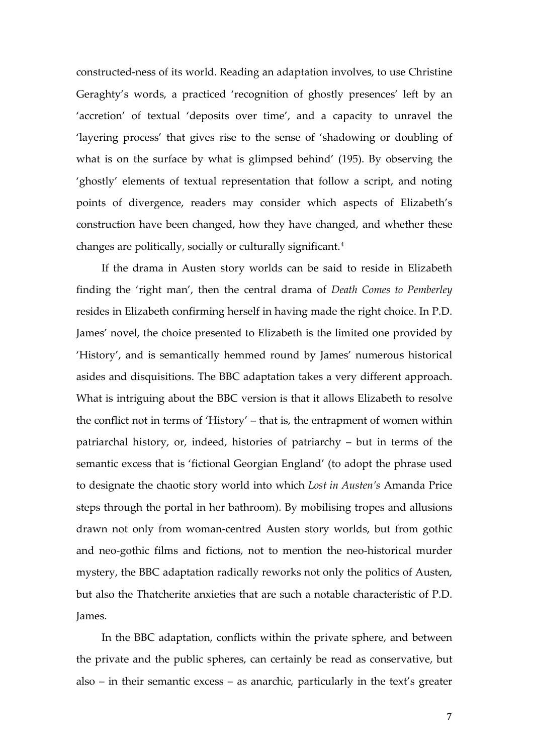constructed-ness of its world. Reading an adaptation involves, to use Christine Geraghty's words, a practiced 'recognition of ghostly presences' left by an 'accretion' of textual 'deposits over time', and a capacity to unravel the 'layering process' that gives rise to the sense of 'shadowing or doubling of what is on the surface by what is glimpsed behind' (195). By observing the 'ghostly' elements of textual representation that follow a script, and noting points of divergence, readers may consider which aspects of Elizabeth's construction have been changed, how they have changed, and whether these changes are politically, socially or culturally significant.[4](#page-4-1)

If the drama in Austen story worlds can be said to reside in Elizabeth finding the 'right man', then the central drama of *Death Comes to Pemberley* resides in Elizabeth confirming herself in having made the right choice. In P.D. James' novel, the choice presented to Elizabeth is the limited one provided by 'History', and is semantically hemmed round by James' numerous historical asides and disquisitions. The BBC adaptation takes a very different approach. What is intriguing about the BBC version is that it allows Elizabeth to resolve the conflict not in terms of 'History' – that is, the entrapment of women within patriarchal history, or, indeed, histories of patriarchy – but in terms of the semantic excess that is 'fictional Georgian England' (to adopt the phrase used to designate the chaotic story world into which *Lost in Austen's* Amanda Price steps through the portal in her bathroom). By mobilising tropes and allusions drawn not only from woman-centred Austen story worlds, but from gothic and neo-gothic films and fictions, not to mention the neo-historical murder mystery, the BBC adaptation radically reworks not only the politics of Austen, but also the Thatcherite anxieties that are such a notable characteristic of P.D. James.

In the BBC adaptation, conflicts within the private sphere, and between the private and the public spheres, can certainly be read as conservative, but also – in their semantic excess – as anarchic, particularly in the text's greater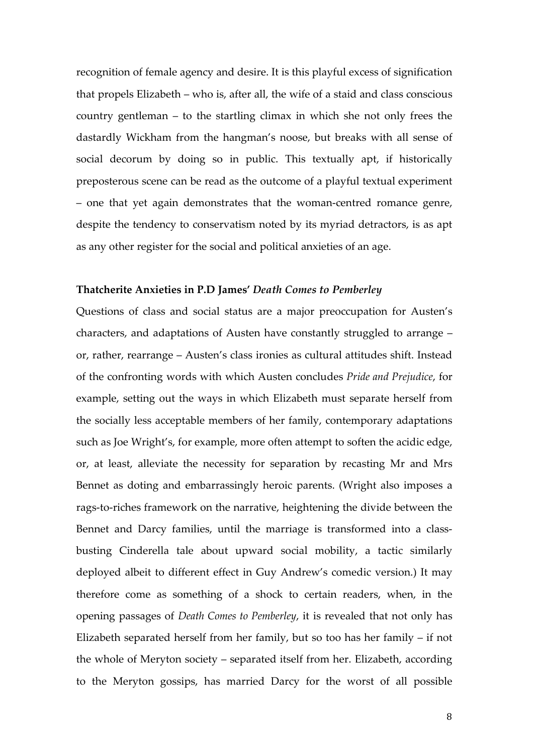recognition of female agency and desire. It is this playful excess of signification that propels Elizabeth – who is, after all, the wife of a staid and class conscious country gentleman – to the startling climax in which she not only frees the dastardly Wickham from the hangman's noose, but breaks with all sense of social decorum by doing so in public. This textually apt, if historically preposterous scene can be read as the outcome of a playful textual experiment – one that yet again demonstrates that the woman-centred romance genre, despite the tendency to conservatism noted by its myriad detractors, is as apt as any other register for the social and political anxieties of an age.

### **Thatcherite Anxieties in P.D James'** *Death Comes to Pemberley*

Questions of class and social status are a major preoccupation for Austen's characters, and adaptations of Austen have constantly struggled to arrange – or, rather, rearrange – Austen's class ironies as cultural attitudes shift. Instead of the confronting words with which Austen concludes *Pride and Prejudice*, for example, setting out the ways in which Elizabeth must separate herself from the socially less acceptable members of her family, contemporary adaptations such as Joe Wright's, for example, more often attempt to soften the acidic edge, or, at least, alleviate the necessity for separation by recasting Mr and Mrs Bennet as doting and embarrassingly heroic parents. (Wright also imposes a rags-to-riches framework on the narrative, heightening the divide between the Bennet and Darcy families, until the marriage is transformed into a classbusting Cinderella tale about upward social mobility, a tactic similarly deployed albeit to different effect in Guy Andrew's comedic version.) It may therefore come as something of a shock to certain readers, when, in the opening passages of *Death Comes to Pemberley*, it is revealed that not only has Elizabeth separated herself from her family, but so too has her family – if not the whole of Meryton society – separated itself from her. Elizabeth, according to the Meryton gossips, has married Darcy for the worst of all possible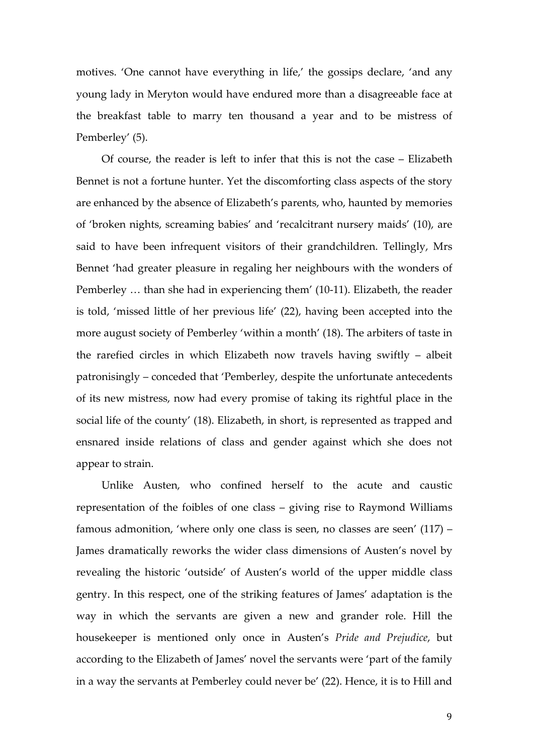motives. 'One cannot have everything in life,' the gossips declare, 'and any young lady in Meryton would have endured more than a disagreeable face at the breakfast table to marry ten thousand a year and to be mistress of Pemberley' (5).

Of course, the reader is left to infer that this is not the case – Elizabeth Bennet is not a fortune hunter. Yet the discomforting class aspects of the story are enhanced by the absence of Elizabeth's parents, who, haunted by memories of 'broken nights, screaming babies' and 'recalcitrant nursery maids' (10), are said to have been infrequent visitors of their grandchildren. Tellingly, Mrs Bennet 'had greater pleasure in regaling her neighbours with the wonders of Pemberley … than she had in experiencing them' (10-11). Elizabeth, the reader is told, 'missed little of her previous life' (22), having been accepted into the more august society of Pemberley 'within a month' (18). The arbiters of taste in the rarefied circles in which Elizabeth now travels having swiftly – albeit patronisingly – conceded that 'Pemberley, despite the unfortunate antecedents of its new mistress, now had every promise of taking its rightful place in the social life of the county' (18). Elizabeth, in short, is represented as trapped and ensnared inside relations of class and gender against which she does not appear to strain.

Unlike Austen, who confined herself to the acute and caustic representation of the foibles of one class – giving rise to Raymond Williams famous admonition, 'where only one class is seen, no classes are seen' (117) – James dramatically reworks the wider class dimensions of Austen's novel by revealing the historic 'outside' of Austen's world of the upper middle class gentry. In this respect, one of the striking features of James' adaptation is the way in which the servants are given a new and grander role. Hill the housekeeper is mentioned only once in Austen's *Pride and Prejudice*, but according to the Elizabeth of James' novel the servants were 'part of the family in a way the servants at Pemberley could never be' (22). Hence, it is to Hill and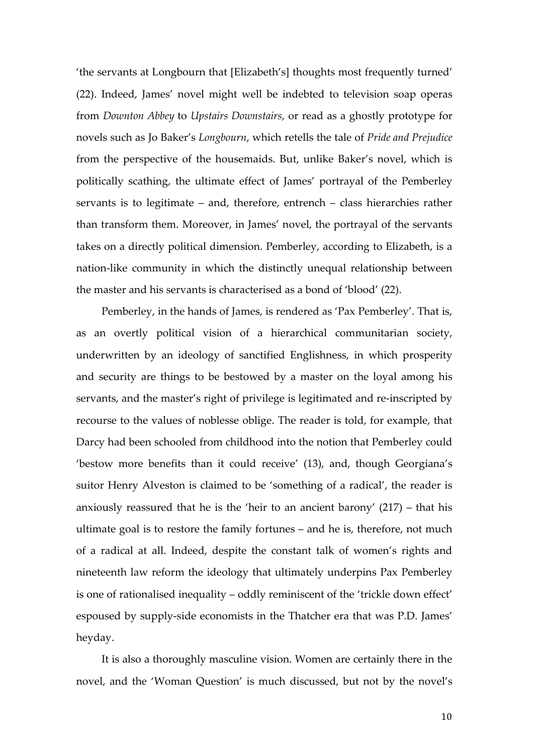'the servants at Longbourn that [Elizabeth's] thoughts most frequently turned' (22). Indeed, James' novel might well be indebted to television soap operas from *Downton Abbey* to *Upstairs Downstairs*, or read as a ghostly prototype for novels such as Jo Baker's *Longbourn*, which retells the tale of *Pride and Prejudice* from the perspective of the housemaids. But, unlike Baker's novel, which is politically scathing, the ultimate effect of James' portrayal of the Pemberley servants is to legitimate – and, therefore, entrench – class hierarchies rather than transform them. Moreover, in James' novel, the portrayal of the servants takes on a directly political dimension. Pemberley, according to Elizabeth, is a nation-like community in which the distinctly unequal relationship between the master and his servants is characterised as a bond of 'blood' (22).

Pemberley, in the hands of James, is rendered as 'Pax Pemberley'. That is, as an overtly political vision of a hierarchical communitarian society, underwritten by an ideology of sanctified Englishness, in which prosperity and security are things to be bestowed by a master on the loyal among his servants, and the master's right of privilege is legitimated and re-inscripted by recourse to the values of noblesse oblige. The reader is told, for example, that Darcy had been schooled from childhood into the notion that Pemberley could 'bestow more benefits than it could receive' (13), and, though Georgiana's suitor Henry Alveston is claimed to be 'something of a radical', the reader is anxiously reassured that he is the 'heir to an ancient barony' (217) – that his ultimate goal is to restore the family fortunes – and he is, therefore, not much of a radical at all. Indeed, despite the constant talk of women's rights and nineteenth law reform the ideology that ultimately underpins Pax Pemberley is one of rationalised inequality – oddly reminiscent of the 'trickle down effect' espoused by supply-side economists in the Thatcher era that was P.D. James' heyday.

It is also a thoroughly masculine vision. Women are certainly there in the novel, and the 'Woman Question' is much discussed, but not by the novel's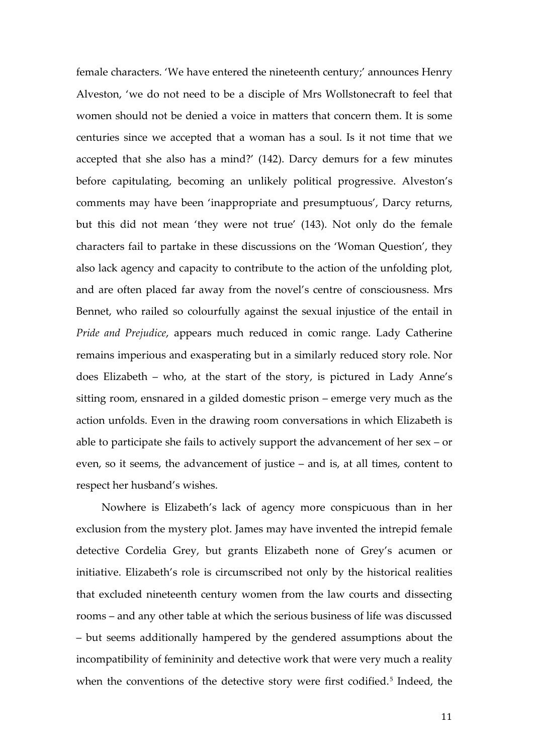female characters. 'We have entered the nineteenth century;' announces Henry Alveston, 'we do not need to be a disciple of Mrs Wollstonecraft to feel that women should not be denied a voice in matters that concern them. It is some centuries since we accepted that a woman has a soul. Is it not time that we accepted that she also has a mind?' (142). Darcy demurs for a few minutes before capitulating, becoming an unlikely political progressive. Alveston's comments may have been 'inappropriate and presumptuous', Darcy returns, but this did not mean 'they were not true' (143). Not only do the female characters fail to partake in these discussions on the 'Woman Question', they also lack agency and capacity to contribute to the action of the unfolding plot, and are often placed far away from the novel's centre of consciousness. Mrs Bennet, who railed so colourfully against the sexual injustice of the entail in *Pride and Prejudice*, appears much reduced in comic range. Lady Catherine remains imperious and exasperating but in a similarly reduced story role. Nor does Elizabeth – who, at the start of the story, is pictured in Lady Anne's sitting room, ensnared in a gilded domestic prison – emerge very much as the action unfolds. Even in the drawing room conversations in which Elizabeth is able to participate she fails to actively support the advancement of her sex – or even, so it seems, the advancement of justice – and is, at all times, content to respect her husband's wishes.

Nowhere is Elizabeth's lack of agency more conspicuous than in her exclusion from the mystery plot. James may have invented the intrepid female detective Cordelia Grey, but grants Elizabeth none of Grey's acumen or initiative. Elizabeth's role is circumscribed not only by the historical realities that excluded nineteenth century women from the law courts and dissecting rooms – and any other table at which the serious business of life was discussed – but seems additionally hampered by the gendered assumptions about the incompatibility of femininity and detective work that were very much a reality when the conventions of the detective story were first codified.<sup>[5](#page-4-2)</sup> Indeed, the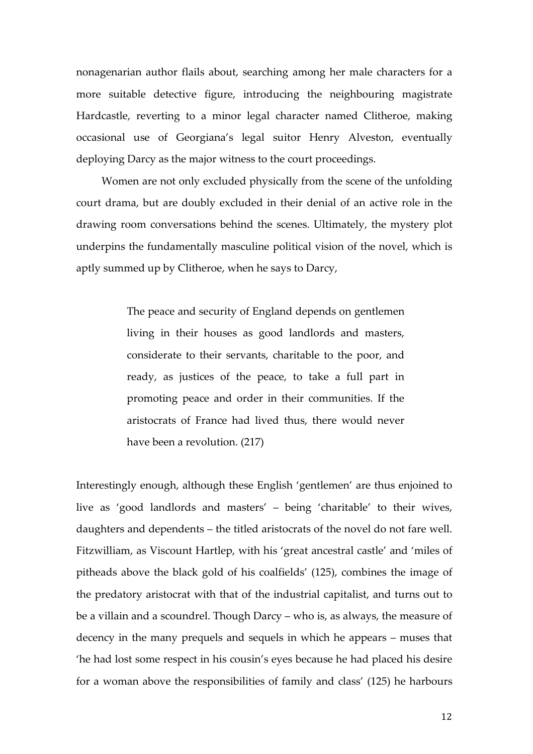nonagenarian author flails about, searching among her male characters for a more suitable detective figure, introducing the neighbouring magistrate Hardcastle, reverting to a minor legal character named Clitheroe, making occasional use of Georgiana's legal suitor Henry Alveston, eventually deploying Darcy as the major witness to the court proceedings.

Women are not only excluded physically from the scene of the unfolding court drama, but are doubly excluded in their denial of an active role in the drawing room conversations behind the scenes. Ultimately, the mystery plot underpins the fundamentally masculine political vision of the novel, which is aptly summed up by Clitheroe, when he says to Darcy,

> The peace and security of England depends on gentlemen living in their houses as good landlords and masters, considerate to their servants, charitable to the poor, and ready, as justices of the peace, to take a full part in promoting peace and order in their communities. If the aristocrats of France had lived thus, there would never have been a revolution. (217)

Interestingly enough, although these English 'gentlemen' are thus enjoined to live as 'good landlords and masters' – being 'charitable' to their wives, daughters and dependents – the titled aristocrats of the novel do not fare well. Fitzwilliam, as Viscount Hartlep, with his 'great ancestral castle' and 'miles of pitheads above the black gold of his coalfields' (125), combines the image of the predatory aristocrat with that of the industrial capitalist, and turns out to be a villain and a scoundrel. Though Darcy – who is, as always, the measure of decency in the many prequels and sequels in which he appears – muses that 'he had lost some respect in his cousin's eyes because he had placed his desire for a woman above the responsibilities of family and class' (125) he harbours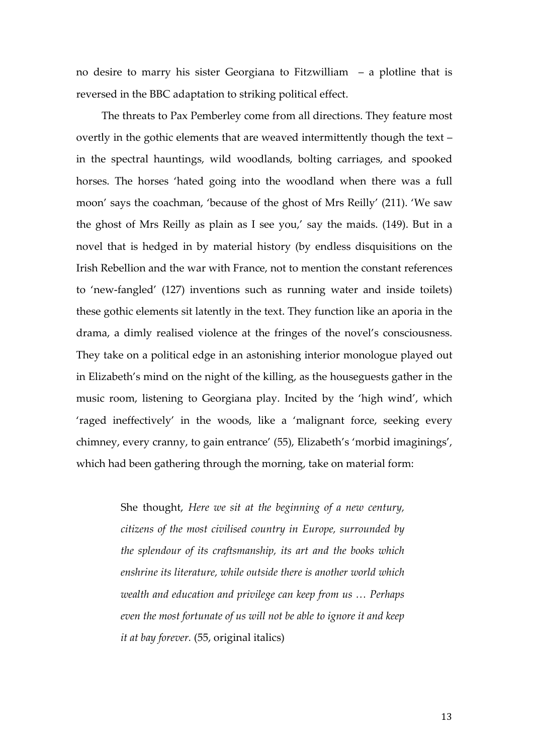no desire to marry his sister Georgiana to Fitzwilliam – a plotline that is reversed in the BBC adaptation to striking political effect.

The threats to Pax Pemberley come from all directions. They feature most overtly in the gothic elements that are weaved intermittently though the text – in the spectral hauntings, wild woodlands, bolting carriages, and spooked horses. The horses 'hated going into the woodland when there was a full moon' says the coachman, 'because of the ghost of Mrs Reilly' (211). 'We saw the ghost of Mrs Reilly as plain as I see you,' say the maids. (149). But in a novel that is hedged in by material history (by endless disquisitions on the Irish Rebellion and the war with France, not to mention the constant references to 'new-fangled' (127) inventions such as running water and inside toilets) these gothic elements sit latently in the text. They function like an aporia in the drama, a dimly realised violence at the fringes of the novel's consciousness. They take on a political edge in an astonishing interior monologue played out in Elizabeth's mind on the night of the killing, as the houseguests gather in the music room, listening to Georgiana play. Incited by the 'high wind', which 'raged ineffectively' in the woods, like a 'malignant force, seeking every chimney, every cranny, to gain entrance' (55), Elizabeth's 'morbid imaginings', which had been gathering through the morning, take on material form:

> She thought, *Here we sit at the beginning of a new century, citizens of the most civilised country in Europe, surrounded by the splendour of its craftsmanship, its art and the books which enshrine its literature, while outside there is another world which wealth and education and privilege can keep from us … Perhaps even the most fortunate of us will not be able to ignore it and keep it at bay forever.* (55, original italics)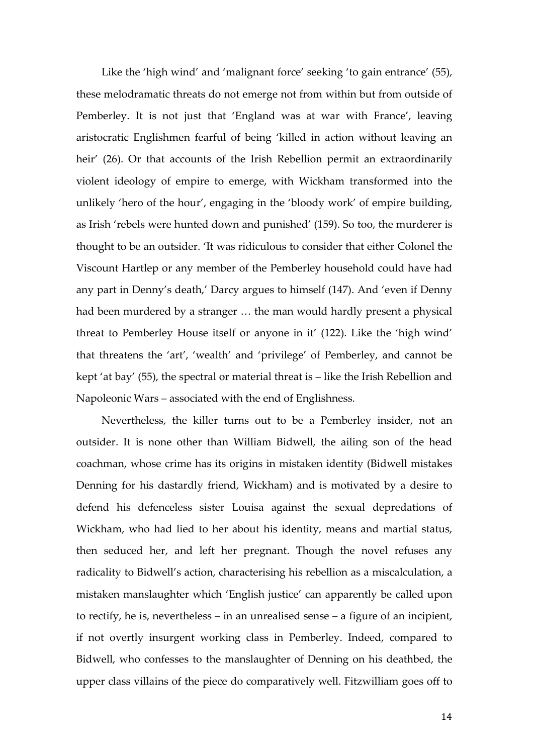Like the 'high wind' and 'malignant force' seeking 'to gain entrance' (55), these melodramatic threats do not emerge not from within but from outside of Pemberley. It is not just that 'England was at war with France', leaving aristocratic Englishmen fearful of being 'killed in action without leaving an heir' (26). Or that accounts of the Irish Rebellion permit an extraordinarily violent ideology of empire to emerge, with Wickham transformed into the unlikely 'hero of the hour', engaging in the 'bloody work' of empire building, as Irish 'rebels were hunted down and punished' (159). So too, the murderer is thought to be an outsider. 'It was ridiculous to consider that either Colonel the Viscount Hartlep or any member of the Pemberley household could have had any part in Denny's death,' Darcy argues to himself (147). And 'even if Denny had been murdered by a stranger … the man would hardly present a physical threat to Pemberley House itself or anyone in it' (122). Like the 'high wind' that threatens the 'art', 'wealth' and 'privilege' of Pemberley, and cannot be kept 'at bay' (55), the spectral or material threat is – like the Irish Rebellion and Napoleonic Wars – associated with the end of Englishness.

Nevertheless, the killer turns out to be a Pemberley insider, not an outsider. It is none other than William Bidwell, the ailing son of the head coachman, whose crime has its origins in mistaken identity (Bidwell mistakes Denning for his dastardly friend, Wickham) and is motivated by a desire to defend his defenceless sister Louisa against the sexual depredations of Wickham, who had lied to her about his identity, means and martial status, then seduced her, and left her pregnant. Though the novel refuses any radicality to Bidwell's action, characterising his rebellion as a miscalculation, a mistaken manslaughter which 'English justice' can apparently be called upon to rectify, he is, nevertheless – in an unrealised sense – a figure of an incipient, if not overtly insurgent working class in Pemberley. Indeed, compared to Bidwell, who confesses to the manslaughter of Denning on his deathbed, the upper class villains of the piece do comparatively well. Fitzwilliam goes off to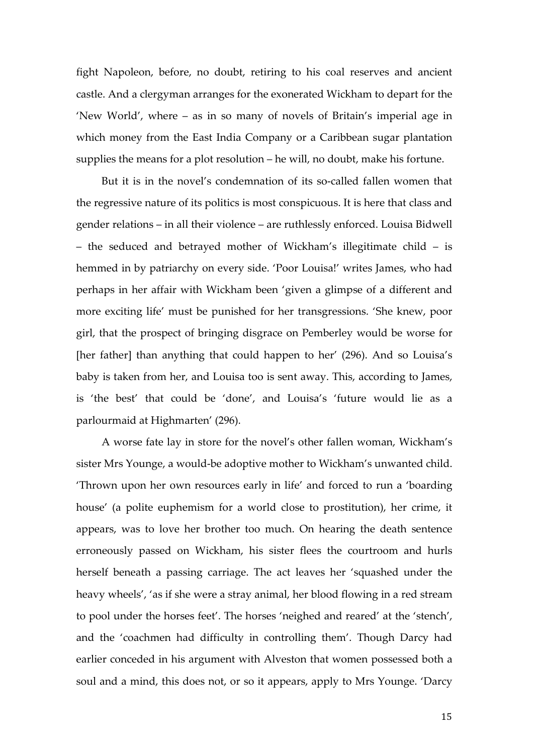fight Napoleon, before, no doubt, retiring to his coal reserves and ancient castle. And a clergyman arranges for the exonerated Wickham to depart for the 'New World', where – as in so many of novels of Britain's imperial age in which money from the East India Company or a Caribbean sugar plantation supplies the means for a plot resolution – he will, no doubt, make his fortune.

But it is in the novel's condemnation of its so-called fallen women that the regressive nature of its politics is most conspicuous. It is here that class and gender relations – in all their violence – are ruthlessly enforced. Louisa Bidwell – the seduced and betrayed mother of Wickham's illegitimate child – is hemmed in by patriarchy on every side. 'Poor Louisa!' writes James, who had perhaps in her affair with Wickham been 'given a glimpse of a different and more exciting life' must be punished for her transgressions. 'She knew, poor girl, that the prospect of bringing disgrace on Pemberley would be worse for [her father] than anything that could happen to her' (296). And so Louisa's baby is taken from her, and Louisa too is sent away. This, according to James, is 'the best' that could be 'done', and Louisa's 'future would lie as a parlourmaid at Highmarten' (296).

A worse fate lay in store for the novel's other fallen woman, Wickham's sister Mrs Younge, a would-be adoptive mother to Wickham's unwanted child. 'Thrown upon her own resources early in life' and forced to run a 'boarding house' (a polite euphemism for a world close to prostitution), her crime, it appears, was to love her brother too much. On hearing the death sentence erroneously passed on Wickham, his sister flees the courtroom and hurls herself beneath a passing carriage. The act leaves her 'squashed under the heavy wheels', 'as if she were a stray animal, her blood flowing in a red stream to pool under the horses feet'. The horses 'neighed and reared' at the 'stench', and the 'coachmen had difficulty in controlling them'. Though Darcy had earlier conceded in his argument with Alveston that women possessed both a soul and a mind, this does not, or so it appears, apply to Mrs Younge. 'Darcy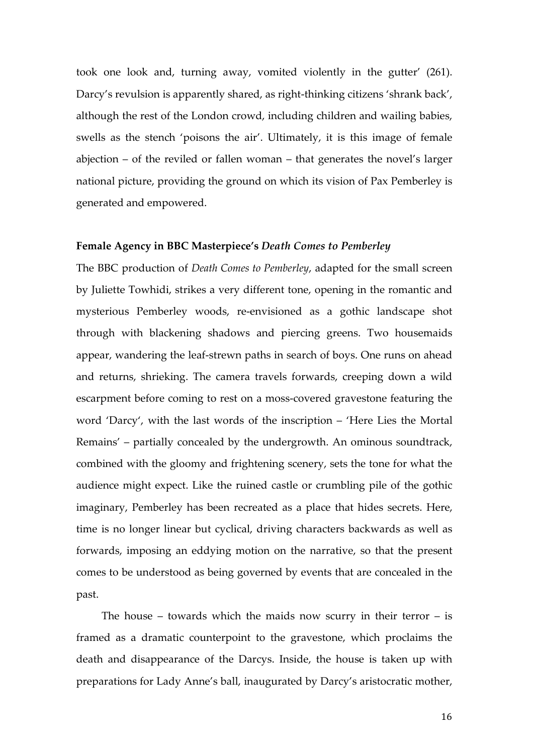took one look and, turning away, vomited violently in the gutter' (261). Darcy's revulsion is apparently shared, as right-thinking citizens 'shrank back', although the rest of the London crowd, including children and wailing babies, swells as the stench 'poisons the air'. Ultimately, it is this image of female abjection – of the reviled or fallen woman – that generates the novel's larger national picture, providing the ground on which its vision of Pax Pemberley is generated and empowered.

#### **Female Agency in BBC Masterpiece's** *Death Comes to Pemberley*

The BBC production of *Death Comes to Pemberley*, adapted for the small screen by Juliette Towhidi, strikes a very different tone, opening in the romantic and mysterious Pemberley woods, re-envisioned as a gothic landscape shot through with blackening shadows and piercing greens. Two housemaids appear, wandering the leaf-strewn paths in search of boys. One runs on ahead and returns, shrieking. The camera travels forwards, creeping down a wild escarpment before coming to rest on a moss-covered gravestone featuring the word 'Darcy', with the last words of the inscription – 'Here Lies the Mortal Remains' – partially concealed by the undergrowth. An ominous soundtrack, combined with the gloomy and frightening scenery, sets the tone for what the audience might expect. Like the ruined castle or crumbling pile of the gothic imaginary, Pemberley has been recreated as a place that hides secrets. Here, time is no longer linear but cyclical, driving characters backwards as well as forwards, imposing an eddying motion on the narrative, so that the present comes to be understood as being governed by events that are concealed in the past.

The house – towards which the maids now scurry in their terror  $-$  is framed as a dramatic counterpoint to the gravestone, which proclaims the death and disappearance of the Darcys. Inside, the house is taken up with preparations for Lady Anne's ball, inaugurated by Darcy's aristocratic mother,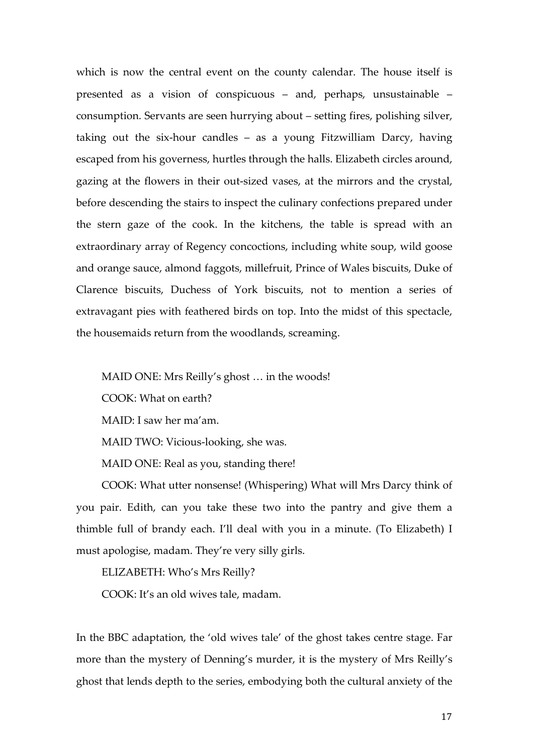which is now the central event on the county calendar. The house itself is presented as a vision of conspicuous – and, perhaps, unsustainable – consumption. Servants are seen hurrying about – setting fires, polishing silver, taking out the six-hour candles – as a young Fitzwilliam Darcy, having escaped from his governess, hurtles through the halls. Elizabeth circles around, gazing at the flowers in their out-sized vases, at the mirrors and the crystal, before descending the stairs to inspect the culinary confections prepared under the stern gaze of the cook. In the kitchens, the table is spread with an extraordinary array of Regency concoctions, including white soup, wild goose and orange sauce, almond faggots, millefruit, Prince of Wales biscuits, Duke of Clarence biscuits, Duchess of York biscuits, not to mention a series of extravagant pies with feathered birds on top. Into the midst of this spectacle, the housemaids return from the woodlands, screaming.

MAID ONE: Mrs Reilly's ghost … in the woods! COOK: What on earth? MAID: I saw her ma'am. MAID TWO: Vicious-looking, she was. MAID ONE: Real as you, standing there!

COOK: What utter nonsense! (Whispering) What will Mrs Darcy think of you pair. Edith, can you take these two into the pantry and give them a thimble full of brandy each. I'll deal with you in a minute. (To Elizabeth) I must apologise, madam. They're very silly girls.

ELIZABETH: Who's Mrs Reilly?

COOK: It's an old wives tale, madam.

In the BBC adaptation, the 'old wives tale' of the ghost takes centre stage. Far more than the mystery of Denning's murder, it is the mystery of Mrs Reilly's ghost that lends depth to the series, embodying both the cultural anxiety of the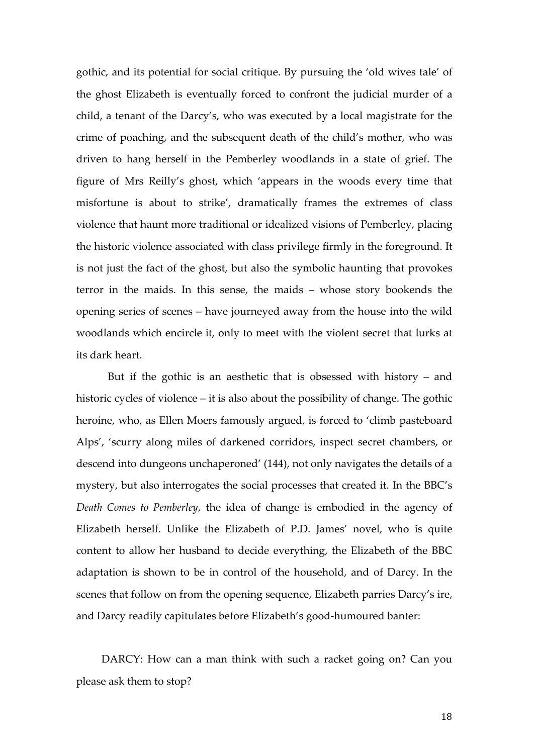gothic, and its potential for social critique. By pursuing the 'old wives tale' of the ghost Elizabeth is eventually forced to confront the judicial murder of a child, a tenant of the Darcy's, who was executed by a local magistrate for the crime of poaching, and the subsequent death of the child's mother, who was driven to hang herself in the Pemberley woodlands in a state of grief. The figure of Mrs Reilly's ghost, which 'appears in the woods every time that misfortune is about to strike', dramatically frames the extremes of class violence that haunt more traditional or idealized visions of Pemberley, placing the historic violence associated with class privilege firmly in the foreground. It is not just the fact of the ghost, but also the symbolic haunting that provokes terror in the maids. In this sense, the maids – whose story bookends the opening series of scenes – have journeyed away from the house into the wild woodlands which encircle it, only to meet with the violent secret that lurks at its dark heart.

But if the gothic is an aesthetic that is obsessed with history – and historic cycles of violence – it is also about the possibility of change. The gothic heroine, who, as Ellen Moers famously argued, is forced to 'climb pasteboard Alps', 'scurry along miles of darkened corridors, inspect secret chambers, or descend into dungeons unchaperoned' (144), not only navigates the details of a mystery, but also interrogates the social processes that created it. In the BBC's *Death Comes to Pemberley*, the idea of change is embodied in the agency of Elizabeth herself. Unlike the Elizabeth of P.D. James' novel, who is quite content to allow her husband to decide everything, the Elizabeth of the BBC adaptation is shown to be in control of the household, and of Darcy. In the scenes that follow on from the opening sequence, Elizabeth parries Darcy's ire, and Darcy readily capitulates before Elizabeth's good-humoured banter:

DARCY: How can a man think with such a racket going on? Can you please ask them to stop?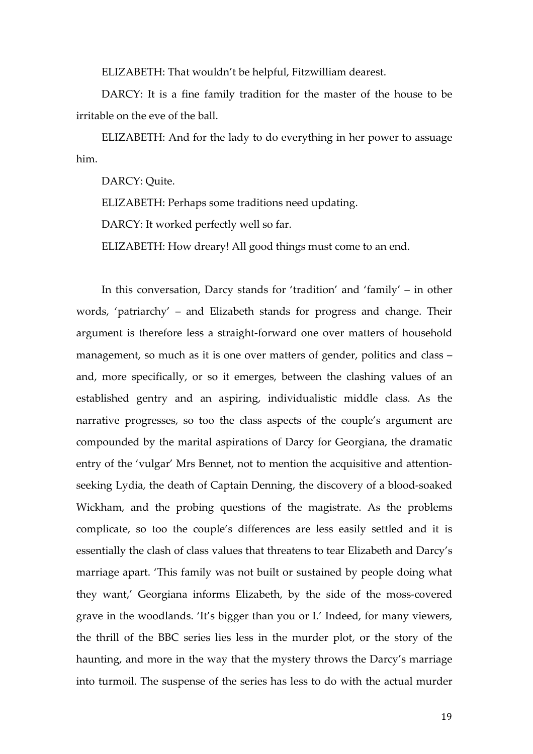ELIZABETH: That wouldn't be helpful, Fitzwilliam dearest.

DARCY: It is a fine family tradition for the master of the house to be irritable on the eve of the ball.

ELIZABETH: And for the lady to do everything in her power to assuage him.

DARCY: Quite.

ELIZABETH: Perhaps some traditions need updating.

DARCY: It worked perfectly well so far.

ELIZABETH: How dreary! All good things must come to an end.

In this conversation, Darcy stands for 'tradition' and 'family' – in other words, 'patriarchy' – and Elizabeth stands for progress and change. Their argument is therefore less a straight-forward one over matters of household management, so much as it is one over matters of gender, politics and class – and, more specifically, or so it emerges, between the clashing values of an established gentry and an aspiring, individualistic middle class. As the narrative progresses, so too the class aspects of the couple's argument are compounded by the marital aspirations of Darcy for Georgiana, the dramatic entry of the 'vulgar' Mrs Bennet, not to mention the acquisitive and attentionseeking Lydia, the death of Captain Denning, the discovery of a blood-soaked Wickham, and the probing questions of the magistrate. As the problems complicate, so too the couple's differences are less easily settled and it is essentially the clash of class values that threatens to tear Elizabeth and Darcy's marriage apart. 'This family was not built or sustained by people doing what they want,' Georgiana informs Elizabeth, by the side of the moss-covered grave in the woodlands. 'It's bigger than you or I.' Indeed, for many viewers, the thrill of the BBC series lies less in the murder plot, or the story of the haunting, and more in the way that the mystery throws the Darcy's marriage into turmoil. The suspense of the series has less to do with the actual murder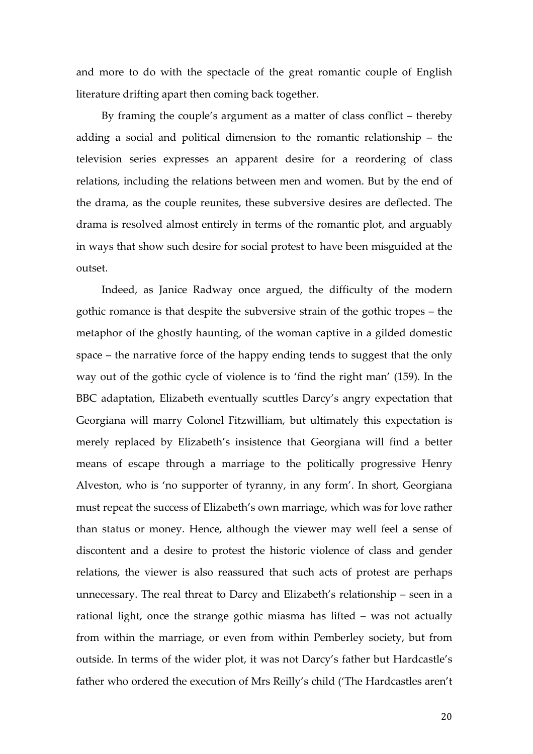and more to do with the spectacle of the great romantic couple of English literature drifting apart then coming back together.

By framing the couple's argument as a matter of class conflict – thereby adding a social and political dimension to the romantic relationship – the television series expresses an apparent desire for a reordering of class relations, including the relations between men and women. But by the end of the drama, as the couple reunites, these subversive desires are deflected. The drama is resolved almost entirely in terms of the romantic plot, and arguably in ways that show such desire for social protest to have been misguided at the outset.

Indeed, as Janice Radway once argued, the difficulty of the modern gothic romance is that despite the subversive strain of the gothic tropes – the metaphor of the ghostly haunting, of the woman captive in a gilded domestic space – the narrative force of the happy ending tends to suggest that the only way out of the gothic cycle of violence is to 'find the right man' (159). In the BBC adaptation, Elizabeth eventually scuttles Darcy's angry expectation that Georgiana will marry Colonel Fitzwilliam, but ultimately this expectation is merely replaced by Elizabeth's insistence that Georgiana will find a better means of escape through a marriage to the politically progressive Henry Alveston, who is 'no supporter of tyranny, in any form'. In short, Georgiana must repeat the success of Elizabeth's own marriage, which was for love rather than status or money. Hence, although the viewer may well feel a sense of discontent and a desire to protest the historic violence of class and gender relations, the viewer is also reassured that such acts of protest are perhaps unnecessary. The real threat to Darcy and Elizabeth's relationship – seen in a rational light, once the strange gothic miasma has lifted – was not actually from within the marriage, or even from within Pemberley society, but from outside. In terms of the wider plot, it was not Darcy's father but Hardcastle's father who ordered the execution of Mrs Reilly's child ('The Hardcastles aren't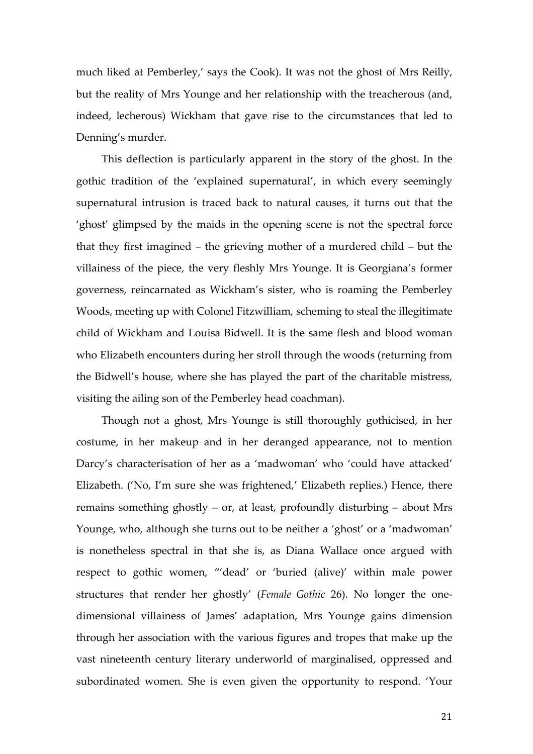much liked at Pemberley,' says the Cook). It was not the ghost of Mrs Reilly, but the reality of Mrs Younge and her relationship with the treacherous (and, indeed, lecherous) Wickham that gave rise to the circumstances that led to Denning's murder.

This deflection is particularly apparent in the story of the ghost. In the gothic tradition of the 'explained supernatural', in which every seemingly supernatural intrusion is traced back to natural causes, it turns out that the 'ghost' glimpsed by the maids in the opening scene is not the spectral force that they first imagined – the grieving mother of a murdered child – but the villainess of the piece, the very fleshly Mrs Younge. It is Georgiana's former governess, reincarnated as Wickham's sister, who is roaming the Pemberley Woods, meeting up with Colonel Fitzwilliam, scheming to steal the illegitimate child of Wickham and Louisa Bidwell. It is the same flesh and blood woman who Elizabeth encounters during her stroll through the woods (returning from the Bidwell's house, where she has played the part of the charitable mistress, visiting the ailing son of the Pemberley head coachman).

Though not a ghost, Mrs Younge is still thoroughly gothicised, in her costume, in her makeup and in her deranged appearance, not to mention Darcy's characterisation of her as a 'madwoman' who 'could have attacked' Elizabeth. ('No, I'm sure she was frightened,' Elizabeth replies.) Hence, there remains something ghostly – or, at least, profoundly disturbing – about Mrs Younge, who, although she turns out to be neither a 'ghost' or a 'madwoman' is nonetheless spectral in that she is, as Diana Wallace once argued with respect to gothic women, "'dead' or 'buried (alive)' within male power structures that render her ghostly' (*Female Gothic* 26). No longer the onedimensional villainess of James' adaptation, Mrs Younge gains dimension through her association with the various figures and tropes that make up the vast nineteenth century literary underworld of marginalised, oppressed and subordinated women. She is even given the opportunity to respond. 'Your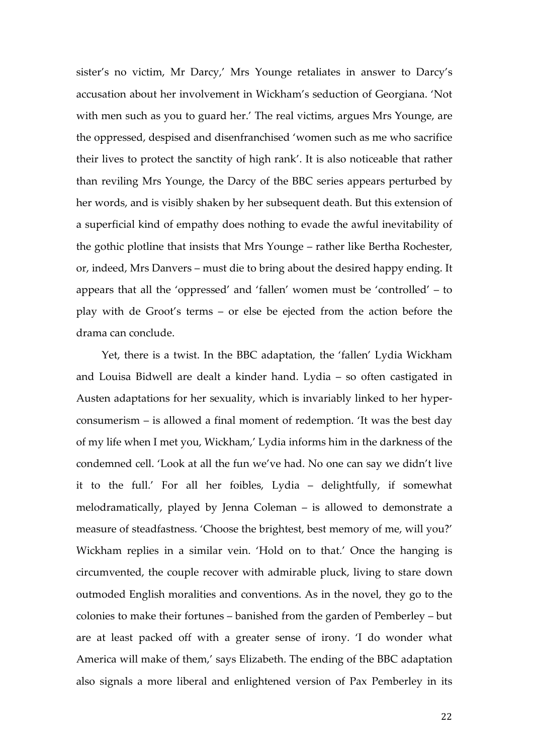sister's no victim, Mr Darcy,' Mrs Younge retaliates in answer to Darcy's accusation about her involvement in Wickham's seduction of Georgiana. 'Not with men such as you to guard her.' The real victims, argues Mrs Younge, are the oppressed, despised and disenfranchised 'women such as me who sacrifice their lives to protect the sanctity of high rank'. It is also noticeable that rather than reviling Mrs Younge, the Darcy of the BBC series appears perturbed by her words, and is visibly shaken by her subsequent death. But this extension of a superficial kind of empathy does nothing to evade the awful inevitability of the gothic plotline that insists that Mrs Younge – rather like Bertha Rochester, or, indeed, Mrs Danvers – must die to bring about the desired happy ending. It appears that all the 'oppressed' and 'fallen' women must be 'controlled' – to play with de Groot's terms – or else be ejected from the action before the drama can conclude.

Yet, there is a twist. In the BBC adaptation, the 'fallen' Lydia Wickham and Louisa Bidwell are dealt a kinder hand. Lydia – so often castigated in Austen adaptations for her sexuality, which is invariably linked to her hyperconsumerism – is allowed a final moment of redemption. 'It was the best day of my life when I met you, Wickham,' Lydia informs him in the darkness of the condemned cell. 'Look at all the fun we've had. No one can say we didn't live it to the full.' For all her foibles, Lydia – delightfully, if somewhat melodramatically, played by Jenna Coleman – is allowed to demonstrate a measure of steadfastness. 'Choose the brightest, best memory of me, will you?' Wickham replies in a similar vein. 'Hold on to that.' Once the hanging is circumvented, the couple recover with admirable pluck, living to stare down outmoded English moralities and conventions. As in the novel, they go to the colonies to make their fortunes – banished from the garden of Pemberley – but are at least packed off with a greater sense of irony. 'I do wonder what America will make of them,' says Elizabeth. The ending of the BBC adaptation also signals a more liberal and enlightened version of Pax Pemberley in its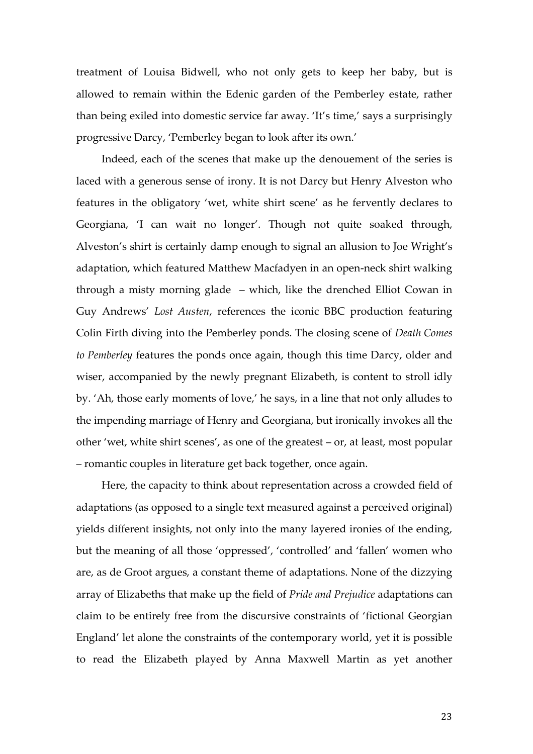treatment of Louisa Bidwell, who not only gets to keep her baby, but is allowed to remain within the Edenic garden of the Pemberley estate, rather than being exiled into domestic service far away. 'It's time,' says a surprisingly progressive Darcy, 'Pemberley began to look after its own.'

Indeed, each of the scenes that make up the denouement of the series is laced with a generous sense of irony. It is not Darcy but Henry Alveston who features in the obligatory 'wet, white shirt scene' as he fervently declares to Georgiana, 'I can wait no longer'. Though not quite soaked through, Alveston's shirt is certainly damp enough to signal an allusion to Joe Wright's adaptation, which featured Matthew Macfadyen in an open-neck shirt walking through a misty morning glade – which, like the drenched Elliot Cowan in Guy Andrews' *Lost Austen*, references the iconic BBC production featuring Colin Firth diving into the Pemberley ponds. The closing scene of *Death Comes to Pemberley* features the ponds once again, though this time Darcy, older and wiser, accompanied by the newly pregnant Elizabeth, is content to stroll idly by. 'Ah, those early moments of love,' he says, in a line that not only alludes to the impending marriage of Henry and Georgiana, but ironically invokes all the other 'wet, white shirt scenes', as one of the greatest – or, at least, most popular – romantic couples in literature get back together, once again.

Here, the capacity to think about representation across a crowded field of adaptations (as opposed to a single text measured against a perceived original) yields different insights, not only into the many layered ironies of the ending, but the meaning of all those 'oppressed', 'controlled' and 'fallen' women who are, as de Groot argues, a constant theme of adaptations. None of the dizzying array of Elizabeths that make up the field of *Pride and Prejudice* adaptations can claim to be entirely free from the discursive constraints of 'fictional Georgian England' let alone the constraints of the contemporary world, yet it is possible to read the Elizabeth played by Anna Maxwell Martin as yet another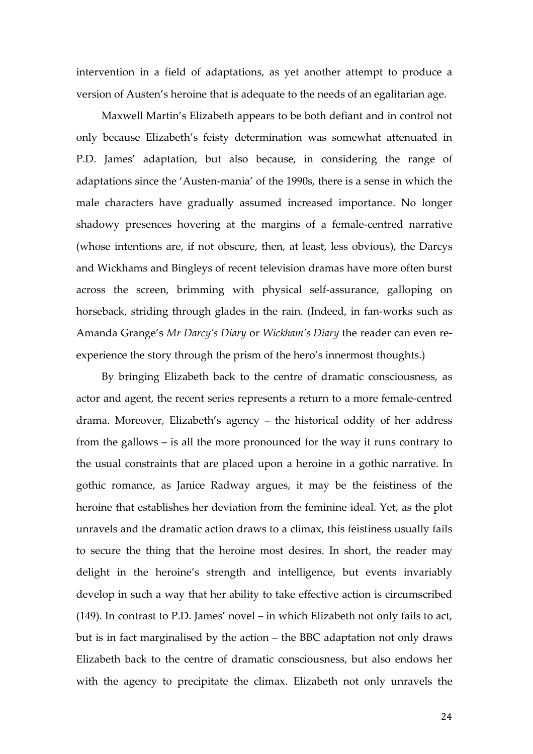intervention in a field of adaptations, as yet another attempt to produce a version of Austen's heroine that is adequate to the needs of an egalitarian age.

Maxwell Martin's Elizabeth appears to be both defiant and in control not only because Elizabeth's feisty determination was somewhat attenuated in P.D. James' adaptation, but also because, in considering the range of adaptations since the 'Austen-mania' of the 1990s, there is a sense in which the male characters have gradually assumed increased importance. No longer shadowy presences hovering at the margins of a female-centred narrative (whose intentions are, if not obscure, then, at least, less obvious), the Darcys and Wickhams and Bingleys of recent television dramas have more often burst across the screen, brimming with physical self-assurance, galloping on horseback, striding through glades in the rain. (Indeed, in fan-works such as Amanda Grange's *Mr Darcy's Diary* or *Wickham's Diary* the reader can even reexperience the story through the prism of the hero's innermost thoughts.)

By bringing Elizabeth back to the centre of dramatic consciousness, as actor and agent, the recent series represents a return to a more female-centred drama. Moreover, Elizabeth's agency – the historical oddity of her address from the gallows – is all the more pronounced for the way it runs contrary to the usual constraints that are placed upon a heroine in a gothic narrative. In gothic romance, as Janice Radway argues, it may be the feistiness of the heroine that establishes her deviation from the feminine ideal. Yet, as the plot unravels and the dramatic action draws to a climax, this feistiness usually fails to secure the thing that the heroine most desires. In short, the reader may delight in the heroine's strength and intelligence, but events invariably develop in such a way that her ability to take effective action is circumscribed (149). In contrast to P.D. James' novel – in which Elizabeth not only fails to act, but is in fact marginalised by the action – the BBC adaptation not only draws Elizabeth back to the centre of dramatic consciousness, but also endows her with the agency to precipitate the climax. Elizabeth not only unravels the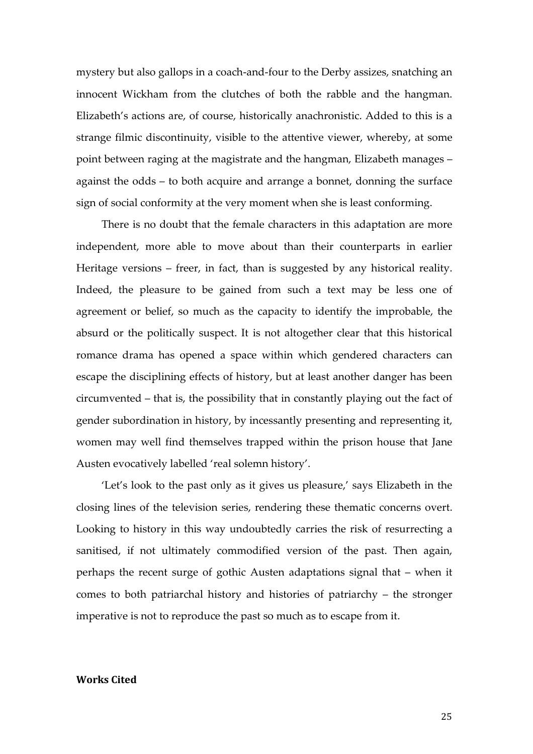mystery but also gallops in a coach-and-four to the Derby assizes, snatching an innocent Wickham from the clutches of both the rabble and the hangman. Elizabeth's actions are, of course, historically anachronistic. Added to this is a strange filmic discontinuity, visible to the attentive viewer, whereby, at some point between raging at the magistrate and the hangman, Elizabeth manages – against the odds – to both acquire and arrange a bonnet, donning the surface sign of social conformity at the very moment when she is least conforming.

There is no doubt that the female characters in this adaptation are more independent, more able to move about than their counterparts in earlier Heritage versions – freer, in fact, than is suggested by any historical reality. Indeed, the pleasure to be gained from such a text may be less one of agreement or belief, so much as the capacity to identify the improbable, the absurd or the politically suspect. It is not altogether clear that this historical romance drama has opened a space within which gendered characters can escape the disciplining effects of history, but at least another danger has been circumvented – that is, the possibility that in constantly playing out the fact of gender subordination in history, by incessantly presenting and representing it, women may well find themselves trapped within the prison house that Jane Austen evocatively labelled 'real solemn history'.

'Let's look to the past only as it gives us pleasure,' says Elizabeth in the closing lines of the television series, rendering these thematic concerns overt. Looking to history in this way undoubtedly carries the risk of resurrecting a sanitised, if not ultimately commodified version of the past. Then again, perhaps the recent surge of gothic Austen adaptations signal that – when it comes to both patriarchal history and histories of patriarchy – the stronger imperative is not to reproduce the past so much as to escape from it.

### **Works Cited**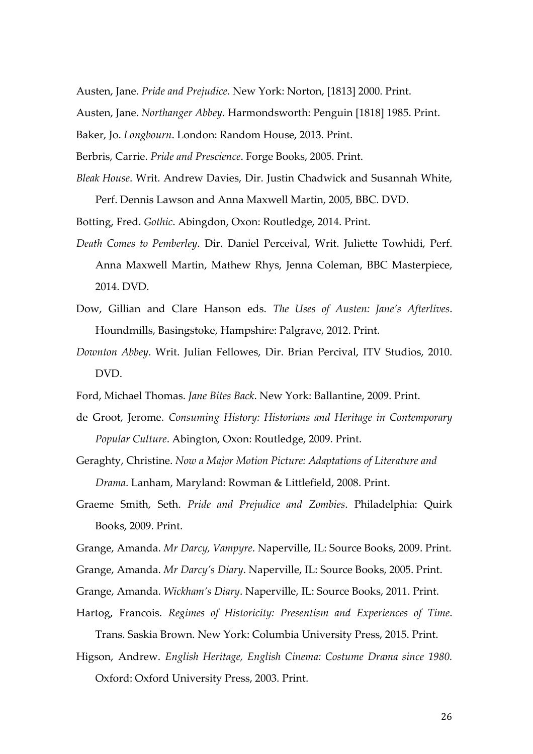Austen, Jane. *Pride and Prejudice*. New York: Norton, [1813] 2000. Print.

Austen, Jane. *Northanger Abbey*. Harmondsworth: Penguin [1818] 1985. Print.

Baker, Jo. *Longbourn*. London: Random House, 2013. Print.

Berbris, Carrie. *Pride and Prescience*. Forge Books, 2005. Print.

*Bleak House*. Writ. Andrew Davies, Dir. Justin Chadwick and Susannah White, Perf. Dennis Lawson and Anna Maxwell Martin, 2005, BBC. DVD.

Botting, Fred. *Gothic*. Abingdon, Oxon: Routledge, 2014. Print.

- *Death Comes to Pemberley*. Dir. Daniel Perceival, Writ. Juliette Towhidi, Perf. Anna Maxwell Martin, Mathew Rhys, Jenna Coleman, BBC Masterpiece, 2014. DVD.
- Dow, Gillian and Clare Hanson eds. *The Uses of Austen: Jane's Afterlives*. Houndmills, Basingstoke, Hampshire: Palgrave, 2012. Print.
- *Downton Abbey*. Writ. Julian Fellowes, Dir. Brian Percival, ITV Studios, 2010. DVD.
- Ford, Michael Thomas. *Jane Bites Back*. New York: Ballantine, 2009. Print.
- de Groot, Jerome. *Consuming History: Historians and Heritage in Contemporary Popular Culture*. Abington, Oxon: Routledge, 2009. Print.
- Geraghty, Christine. *Now a Major Motion Picture: Adaptations of Literature and Drama*. Lanham, Maryland: Rowman & Littlefield, 2008. Print.
- Graeme Smith, Seth. *Pride and Prejudice and Zombies*. Philadelphia: Quirk Books, 2009. Print.
- Grange, Amanda. *Mr Darcy, Vampyre*. Naperville, IL: Source Books, 2009. Print.

Grange, Amanda. *Mr Darcy's Diary*. Naperville, IL: Source Books, 2005. Print.

- Grange, Amanda. *Wickham's Diary*. Naperville, IL: Source Books, 2011. Print.
- Hartog, Francois. *Regimes of Historicity: Presentism and Experiences of Time*. Trans. Saskia Brown. New York: Columbia University Press, 2015. Print.
- Higson, Andrew. *English Heritage, English Cinema: Costume Drama since 1980.* Oxford: Oxford University Press, 2003. Print.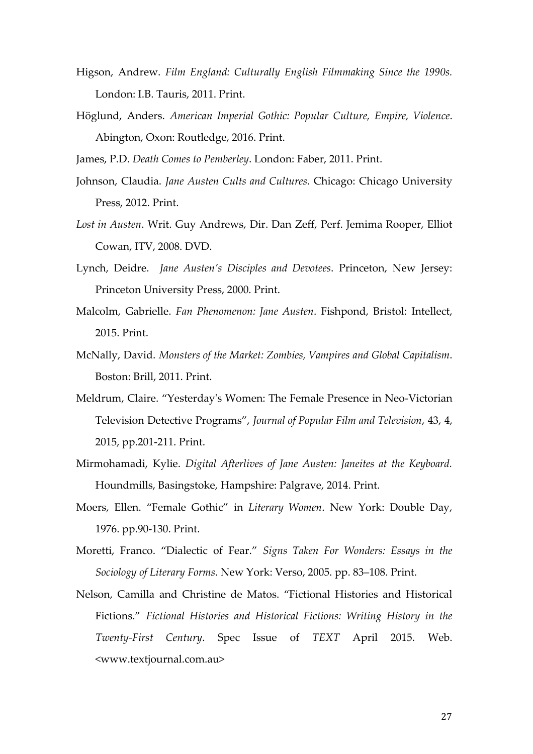- Higson, Andrew. *Film England: Culturally English Filmmaking Since the 1990s.* London: I.B. Tauris, 2011. Print.
- Höglund, Anders. *American Imperial Gothic: Popular Culture, Empire, Violence*. Abington, Oxon: Routledge, 2016. Print.
- James, P.D. *Death Comes to Pemberley*. London: Faber, 2011. Print.
- Johnson, Claudia. *Jane Austen Cults and Cultures*. Chicago: Chicago University Press, 2012. Print.
- *Lost in Austen*. Writ. Guy Andrews, Dir. Dan Zeff, Perf. Jemima Rooper, Elliot Cowan, ITV, 2008. DVD.
- Lynch, Deidre. *Jane Austen's Disciples and Devotees*. Princeton, New Jersey: Princeton University Press, 2000. Print.
- Malcolm, Gabrielle. *Fan Phenomenon: Jane Austen*. Fishpond, Bristol: Intellect, 2015. Print.
- McNally, David. *Monsters of the Market: Zombies, Vampires and Global Capitalism*. Boston: Brill, 2011. Print.
- Meldrum, Claire. "Yesterday's Women: The Female Presence in Neo-Victorian Television Detective Programs", *Journal of Popular Film and Television*, 43, 4, 2015, pp.201-211. Print.
- Mirmohamadi, Kylie. *Digital Afterlives of Jane Austen: Janeites at the Keyboard.* Houndmills, Basingstoke, Hampshire: Palgrave, 2014. Print.
- Moers, Ellen. "Female Gothic" in *Literary Women*. New York: Double Day, 1976. pp.90-130. Print.
- Moretti, Franco. "Dialectic of Fear." *Signs Taken For Wonders: Essays in the Sociology of Literary Forms*. New York: Verso, 2005. pp. 83–108. Print.
- Nelson, Camilla and Christine de Matos. "Fictional Histories and Historical Fictions." *Fictional Histories and Historical Fictions: Writing History in the Twenty-First Century*. Spec Issue of *TEXT* April 2015. Web. <www.textjournal.com.au>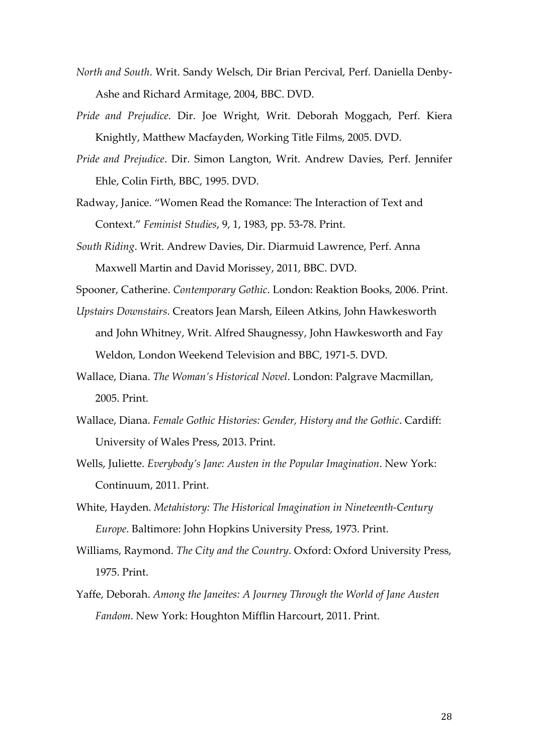- *North and South*. Writ. Sandy Welsch, Dir Brian Percival, Perf. Daniella Denby-Ashe and Richard Armitage, 2004, BBC. DVD.
- *Pride and Prejudice*. Dir. Joe Wright, Writ. Deborah Moggach, Perf. Kiera Knightly, Matthew Macfayden, Working Title Films, 2005. DVD.
- *Pride and Prejudice*. Dir. Simon Langton, Writ. Andrew Davies, Perf. Jennifer Ehle, Colin Firth, BBC, 1995. DVD.
- Radway, Janice. "Women Read the Romance: The Interaction of Text and Context." *Feminist Studies*, 9, 1, 1983, pp. 53-78. Print.
- *South Riding*. Writ. Andrew Davies, Dir. Diarmuid Lawrence, Perf. Anna Maxwell Martin and David Morissey, 2011, BBC. DVD.

Spooner, Catherine. *Contemporary Gothic*. London: Reaktion Books, 2006. Print.

- *Upstairs Downstairs*. Creators Jean Marsh, Eileen Atkins, John Hawkesworth and John Whitney, Writ. Alfred Shaugnessy, John Hawkesworth and Fay Weldon, London Weekend Television and BBC, 1971-5. DVD.
- Wallace, Diana. *The Woman's Historical Novel*. London: Palgrave Macmillan, 2005. Print.
- Wallace, Diana. *Female Gothic Histories: Gender, History and the Gothic*. Cardiff: University of Wales Press, 2013. Print.
- Wells, Juliette. *Everybody's Jane: Austen in the Popular Imagination*. New York: Continuum, 2011. Print.
- White, Hayden. *Metahistory: The Historical Imagination in Nineteenth-Century Europe*. Baltimore: John Hopkins University Press, 1973. Print.
- Williams, Raymond. *The City and the Country*. Oxford: Oxford University Press, 1975. Print.
- Yaffe, Deborah. *Among the Janeites: A Journey Through the World of Jane Austen Fandom*. New York: Houghton Mifflin Harcourt, 2011. Print.